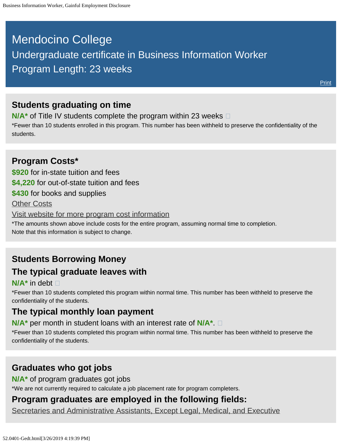# <span id="page-0-0"></span>Mendocino College Undergraduate certificate in Business Information Worker Program Length: 23 weeks

### **Students graduating on time**

**N/A<sup>\*</sup>** of Title IV students complete the program within 23 weeks  $\Box$ 

\*Fewer than 10 students enrolled in this program. This number has been withheld to preserve the confidentiality of the students.

### **Program Costs\* \$920** for in-state tuition and fees **\$4,220** for out-of-state tuition and fees **\$430** for books and supplies [Other Costs](#page-0-0) [Visit website for more program cost information](https://www.mendocino.edu/program/business-information-worker-i) \*The amounts shown above include costs for the entire program, assuming normal time to completion. Note that this information is subject to change.

## **Students Borrowing Money The typical graduate leaves with**

#### **N/A\*** in debt

\*Fewer than 10 students completed this program within normal time. This number has been withheld to preserve the confidentiality of the students.

### **The typical monthly loan payment**

**N/A\*** per month in student loans with an interest rate of **N/A\***.

\*Fewer than 10 students completed this program within normal time. This number has been withheld to preserve the confidentiality of the students.

### **Graduates who got jobs**

**N/A\*** of program graduates got jobs

\*We are not currently required to calculate a job placement rate for program completers.

## **Program graduates are employed in the following fields:**

[Secretaries and Administrative Assistants, Except Legal, Medical, and Executive](http://online.onetcenter.org/link/summary/43-6014.00)